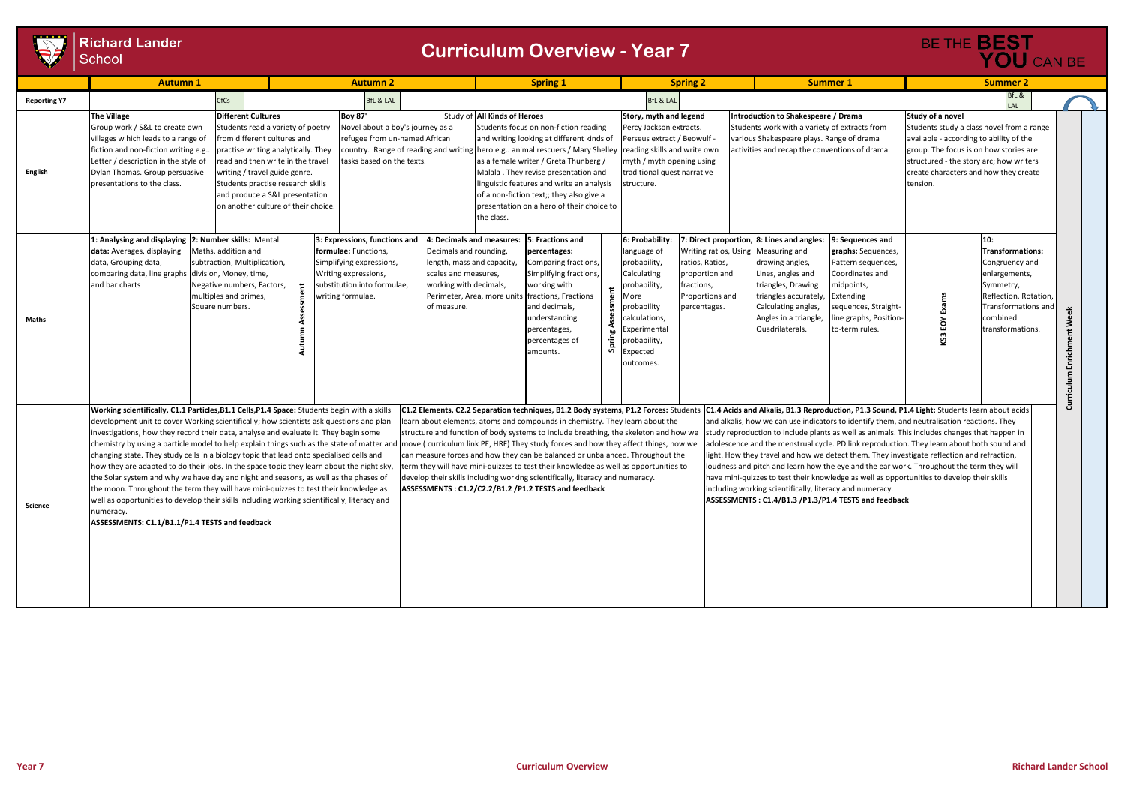|                     | <b>Richard Lander</b><br>School                                                                                                                                                                                                                                                                                                                                                                                                                                                                                                                                                                                                                                                                                                                                                                                                                                                                                                                                                                             |                                                                                                                                                           | <b>Curriculum Overview - Year 7</b>                                                                                                                                                                                                                                                                                                                                                      |                                                                                                                       |                                                                                                                                                                                                                                                                                                                                                                                                    |                                                                                                                                                                                                                                                                                                                                                                                                                                                                                                                                                                               |                                                                                                                                                                                          |                                                                                    |                                                                                                                                                                                                                                                                                                                                                                                                                                                                                                                                                                                                                                                                                                                                                                                                         |                                                                                                                                                                                | BE THE <b>BEST</b><br>YOU CAN BE                                                                                                                                                                                                                   |                                                                                                                                                                |      |
|---------------------|-------------------------------------------------------------------------------------------------------------------------------------------------------------------------------------------------------------------------------------------------------------------------------------------------------------------------------------------------------------------------------------------------------------------------------------------------------------------------------------------------------------------------------------------------------------------------------------------------------------------------------------------------------------------------------------------------------------------------------------------------------------------------------------------------------------------------------------------------------------------------------------------------------------------------------------------------------------------------------------------------------------|-----------------------------------------------------------------------------------------------------------------------------------------------------------|------------------------------------------------------------------------------------------------------------------------------------------------------------------------------------------------------------------------------------------------------------------------------------------------------------------------------------------------------------------------------------------|-----------------------------------------------------------------------------------------------------------------------|----------------------------------------------------------------------------------------------------------------------------------------------------------------------------------------------------------------------------------------------------------------------------------------------------------------------------------------------------------------------------------------------------|-------------------------------------------------------------------------------------------------------------------------------------------------------------------------------------------------------------------------------------------------------------------------------------------------------------------------------------------------------------------------------------------------------------------------------------------------------------------------------------------------------------------------------------------------------------------------------|------------------------------------------------------------------------------------------------------------------------------------------------------------------------------------------|------------------------------------------------------------------------------------|---------------------------------------------------------------------------------------------------------------------------------------------------------------------------------------------------------------------------------------------------------------------------------------------------------------------------------------------------------------------------------------------------------------------------------------------------------------------------------------------------------------------------------------------------------------------------------------------------------------------------------------------------------------------------------------------------------------------------------------------------------------------------------------------------------|--------------------------------------------------------------------------------------------------------------------------------------------------------------------------------|----------------------------------------------------------------------------------------------------------------------------------------------------------------------------------------------------------------------------------------------------|----------------------------------------------------------------------------------------------------------------------------------------------------------------|------|
|                     | <b>Autumn 1</b>                                                                                                                                                                                                                                                                                                                                                                                                                                                                                                                                                                                                                                                                                                                                                                                                                                                                                                                                                                                             | <b>Autumn 2</b>                                                                                                                                           |                                                                                                                                                                                                                                                                                                                                                                                          |                                                                                                                       | <b>Spring 1</b>                                                                                                                                                                                                                                                                                                                                                                                    |                                                                                                                                                                                                                                                                                                                                                                                                                                                                                                                                                                               | <b>Spring 2</b>                                                                                                                                                                          |                                                                                    | <b>Summer 1</b>                                                                                                                                                                                                                                                                                                                                                                                                                                                                                                                                                                                                                                                                                                                                                                                         |                                                                                                                                                                                |                                                                                                                                                                                                                                                    | <b>Summer 2</b>                                                                                                                                                |      |
| <b>Reporting Y7</b> |                                                                                                                                                                                                                                                                                                                                                                                                                                                                                                                                                                                                                                                                                                                                                                                                                                                                                                                                                                                                             | CfCs                                                                                                                                                      |                                                                                                                                                                                                                                                                                                                                                                                          | <b>BfL &amp; LAL</b>                                                                                                  |                                                                                                                                                                                                                                                                                                                                                                                                    |                                                                                                                                                                                                                                                                                                                                                                                                                                                                                                                                                                               | <b>BfL &amp; LAL</b>                                                                                                                                                                     |                                                                                    |                                                                                                                                                                                                                                                                                                                                                                                                                                                                                                                                                                                                                                                                                                                                                                                                         |                                                                                                                                                                                |                                                                                                                                                                                                                                                    | BfL &<br>LAL                                                                                                                                                   |      |
| English             | <b>Different Cultures</b><br><b>The Village</b><br>Group work / S&L to create own<br>villages w hich leads to a range of<br>from different cultures and<br>fiction and non-fiction writing e.g.<br>Letter / description in the style of<br>Dylan Thomas. Group persuasive<br>writing / travel guide genre.<br>presentations to the class.                                                                                                                                                                                                                                                                                                                                                                                                                                                                                                                                                                                                                                                                   |                                                                                                                                                           | <b>Boy 87'</b><br>Students read a variety of poetry<br>Novel about a boy's journey as a<br>refugee from un-named African<br>country. Range of reading and writing<br>practise writing analytically. They<br>read and then write in the travel<br>tasks based on the texts.<br>Students practise research skills<br>and produce a S&L presentation<br>on another culture of their choice. |                                                                                                                       | Study of All Kinds of Heroes<br>Students focus on non-fiction reading<br>and writing looking at different kinds of<br>hero e.g animal rescuers / Mary Shelley<br>as a female writer / Greta Thunberg /<br>Malala. They revise presentation and<br>linguistic features and write an analysis<br>of a non-fiction text;; they also give a<br>oresentation on a hero of their choice to<br>the class. |                                                                                                                                                                                                                                                                                                                                                                                                                                                                                                                                                                               | Story, myth and legend<br>Percy Jackson extracts.<br>Perseus extract / Beowulf<br>reading skills and write owr<br>myth / myth opening using<br>traditional quest narrative<br>structure. |                                                                                    | Introduction to Shakespeare / Drama<br>Students work with a variety of extracts from<br>various Shakespeare plays. Range of drama<br>activities and recap the conventions of drama.                                                                                                                                                                                                                                                                                                                                                                                                                                                                                                                                                                                                                     |                                                                                                                                                                                | Study of a novel<br>Students study a class novel from a range<br>available - according to ability of the<br>group. The focus is on how stories are<br>structured - the story arc; how writers<br>create characters and how they create<br>tension. |                                                                                                                                                                |      |
| Maths               | : Analysing and displaying<br>data: Averages, displaying<br>data, Grouping data,<br>comparing data, line graphs division, Money, time,<br>and bar charts                                                                                                                                                                                                                                                                                                                                                                                                                                                                                                                                                                                                                                                                                                                                                                                                                                                    | 2: Number skills: Mental<br>Maths, addition and<br>subtraction, Multiplication,<br>Negative numbers, Factors,<br>multiples and primes,<br>Square numbers. | 3: Expressions, functions and<br>formulae: Functions,<br>Simplifying expressions,<br>Writing expressions,<br>ubstitution into formulae,<br>writing formulae.<br>Autur                                                                                                                                                                                                                    | Decimals and rounding,<br>length, mass and capacity,<br>scales and measures,<br>working with decimals,<br>of measure. | : Decimals and measures:                                                                                                                                                                                                                                                                                                                                                                           | 5: Fractions and<br>percentages:<br>Comparing fractions,<br>Simplifying fractions,<br>working with<br>$\frac{t}{6}$<br>Perimeter, Area, more units fractions, Fractions<br>and decimals,<br>understanding<br>percentages,<br>percentages of<br><b>S</b><br>amounts.                                                                                                                                                                                                                                                                                                           | 6: Probability:<br>language of<br>probability,<br>Calculating<br>probability,<br>More<br>probability<br>calculations,<br>Experimental<br>probability,<br>Expected<br>outcomes.           | ratios, Ratios,<br>proportion and<br>fractions,<br>Proportions and<br>percentages. | : Direct proportion, 8: Lines and angles:<br>Writing ratios, Using Measuring and<br>drawing angles,<br>Lines, angles and<br>triangles, Drawing<br>triangles accurately,<br>Calculating angles,<br>Angles in a triangle,<br>Quadrilaterals.                                                                                                                                                                                                                                                                                                                                                                                                                                                                                                                                                              | 9: Sequences and<br>graphs: Sequences,<br>Pattern sequences,<br>Coordinates and<br>midpoints,<br>Extending<br>sequences, Straight-<br>line graphs, Position-<br>to-term rules. | EOY<br>KS3                                                                                                                                                                                                                                         | 10:<br><b>Transformations:</b><br>Congruency and<br>enlargements,<br>Symmetry,<br>Reflection, Rotation,<br>Transformations and<br>combined<br>transformations. | Week |
| Science             | Working scientifically, C1.1 Particles, B1.1 Cells, P1.4 Space: Students begin with a skills<br>development unit to cover Working scientifically; how scientists ask questions and plan<br>investigations, how they record their data, analyse and evaluate it. They begin some<br>chemistry by using a particle model to help explain things such as the state of matter and  move.( curriculum link PE, HRF) They study forces and how they affect things, how we<br>changing state. They study cells in a biology topic that lead onto specialised cells and<br>how they are adapted to do their jobs. In the space topic they learn about the night sky,<br>the Solar system and why we have day and night and seasons, as well as the phases of<br>the moon. Throughout the term they will have mini-quizzes to test their knowledge as<br>well as opportunities to develop their skills including working scientifically, literacy and<br>numeracy.<br>ASSESSMENTS: C1.1/B1.1/P1.4 TESTS and feedback |                                                                                                                                                           |                                                                                                                                                                                                                                                                                                                                                                                          |                                                                                                                       |                                                                                                                                                                                                                                                                                                                                                                                                    | C1.2 Elements, C2.2 Separation techniques, B1.2 Body systems, P1.2 Forces: Students<br>learn about elements, atoms and compounds in chemistry. They learn about the<br>structure and function of body systems to include breathing, the skeleton and how we<br>can measure forces and how they can be balanced or unbalanced. Throughout the<br>term they will have mini-quizzes to test their knowledge as well as opportunities to<br>develop their skills including working scientifically, literacy and numeracy.<br>ASSESSMENTS: C1.2/C2.2/B1.2 /P1.2 TESTS and feedback |                                                                                                                                                                                          |                                                                                    | C1.4 Acids and Alkalis, B1.3 Reproduction, P1.3 Sound, P1.4 Light: Students learn about acids<br>and alkalis, how we can use indicators to identify them, and neutralisation reactions. They<br>study reproduction to include plants as well as animals. This includes changes that happen in<br>adolescence and the menstrual cycle. PD link reproduction. They learn about both sound and<br>light. How they travel and how we detect them. They investigate reflection and refraction,<br>loudness and pitch and learn how the eye and the ear work. Throughout the term they will<br>have mini-quizzes to test their knowledge as well as opportunities to develop their skills<br>including working scientifically, literacy and numeracy.<br>ASSESSMENTS: C1.4/B1.3 /P1.3/P1.4 TESTS and feedback |                                                                                                                                                                                |                                                                                                                                                                                                                                                    |                                                                                                                                                                | පි   |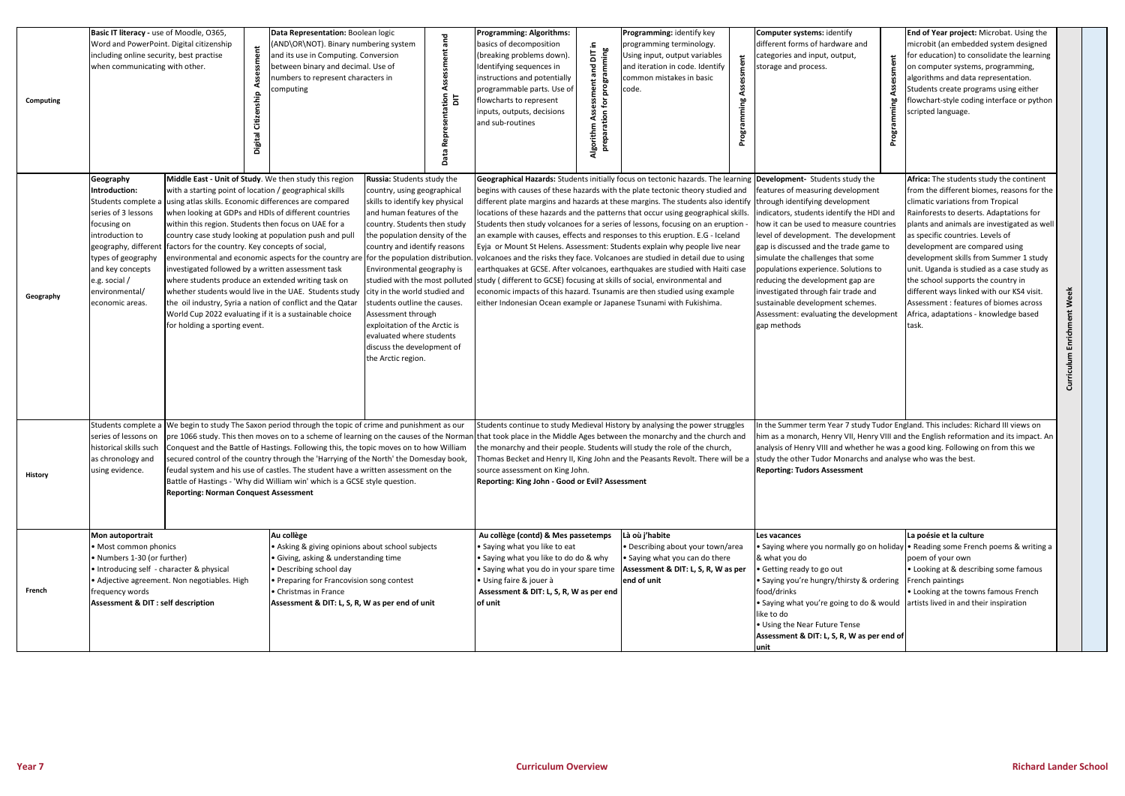| Computing | Basic IT literacy - use of Moodle, 0365,<br>Word and PowerPoint. Digital citizenship<br>including online security, best practise<br>when communicating with other.<br>Digital Citizenship                                                                                                                                                                                                                                                                                                                                                                                                                    |                                                                                                                                                                                                                                                                                                                                                                                                                                                                                                                                                                                                                                                                                                                                 | Data Representation: Boolean logic<br>몯<br>AND\OR\NOT). Binary numbering system<br>and its use in Computing. Conversion<br>between binary and decimal. Use of<br>numbers to represent characters in<br>computing<br>tation                                                                                                                                                                                                                                                                                                                                                                                                                                                                                                                                                                                                                                                                                                                                     |  | <b>Programming: Algorithms:</b><br>basics of decomposition<br>DIT in<br>(breaking problems down)<br>Identifying sequences in<br>짇<br>instructions and potentially<br>programmable parts. Use of<br>flowcharts to represent<br>inputs, outputs, decisions<br>and sub-routines<br>Algorithr | Programming: identify key<br>programming terminology.<br>ming<br>Using input, output variables<br>programr<br>and iteration in code. Identify<br>common mistakes in basic<br>code.<br>preparation for                                                                                                                                                                                                                                                                                                                                                                                                                                                                                                                                                                                    | Computer systems: identify<br>different forms of hardware and<br>categories and input, output,<br>ment<br>storage and process.<br>mming<br>Prograr<br>Progr                                                                                                                                                                                                                                                                                                                                                                                                                           | End of Year project: Microbat. Using the<br>microbit (an embedded system designed<br>for education) to consolidate the learning<br>on computer systems, programming,<br>algorithms and data representation.<br>Students create programs using either<br>flowchart-style coding interface or python<br>scripted language.                                                                                                                                                                                                                                           |                            |
|-----------|--------------------------------------------------------------------------------------------------------------------------------------------------------------------------------------------------------------------------------------------------------------------------------------------------------------------------------------------------------------------------------------------------------------------------------------------------------------------------------------------------------------------------------------------------------------------------------------------------------------|---------------------------------------------------------------------------------------------------------------------------------------------------------------------------------------------------------------------------------------------------------------------------------------------------------------------------------------------------------------------------------------------------------------------------------------------------------------------------------------------------------------------------------------------------------------------------------------------------------------------------------------------------------------------------------------------------------------------------------|----------------------------------------------------------------------------------------------------------------------------------------------------------------------------------------------------------------------------------------------------------------------------------------------------------------------------------------------------------------------------------------------------------------------------------------------------------------------------------------------------------------------------------------------------------------------------------------------------------------------------------------------------------------------------------------------------------------------------------------------------------------------------------------------------------------------------------------------------------------------------------------------------------------------------------------------------------------|--|-------------------------------------------------------------------------------------------------------------------------------------------------------------------------------------------------------------------------------------------------------------------------------------------|------------------------------------------------------------------------------------------------------------------------------------------------------------------------------------------------------------------------------------------------------------------------------------------------------------------------------------------------------------------------------------------------------------------------------------------------------------------------------------------------------------------------------------------------------------------------------------------------------------------------------------------------------------------------------------------------------------------------------------------------------------------------------------------|---------------------------------------------------------------------------------------------------------------------------------------------------------------------------------------------------------------------------------------------------------------------------------------------------------------------------------------------------------------------------------------------------------------------------------------------------------------------------------------------------------------------------------------------------------------------------------------|--------------------------------------------------------------------------------------------------------------------------------------------------------------------------------------------------------------------------------------------------------------------------------------------------------------------------------------------------------------------------------------------------------------------------------------------------------------------------------------------------------------------------------------------------------------------|----------------------------|
| Geography | Geography<br>Introduction:<br>with a starting point of location / geographical skills<br>Students complete a using atlas skills. Economic differences are compared<br>series of 3 lessons<br>focusing on<br>within this region. Students then focus on UAE for a<br>introduction to<br>geography, different<br>factors for the country. Key concepts of social,<br>types of geography<br>and key concepts<br>investigated followed by a written assessment task<br>e.g. social /<br>where students produce an extended writing task on<br>environmental/<br>economic areas.<br>for holding a sporting event. |                                                                                                                                                                                                                                                                                                                                                                                                                                                                                                                                                                                                                                                                                                                                 | Russia: Students study the<br>Middle East - Unit of Study. We then study this region<br>country, using geographical<br>skills to identify key physical<br>when looking at GDPs and HDIs of different countries<br>and human features of the<br>country. Students then study<br>country case study looking at population push and pull<br>the population density of the<br>country and identify reasons<br>environmental and economic aspects for the country are<br>for the population distribution<br>Environmental geography is<br>studied with the most polluted<br>whether students would live in the UAE. Students study<br>city in the world studied and<br>the oil industry, Syria a nation of conflict and the Qatar<br>students outline the causes.<br>World Cup 2022 evaluating if it is a sustainable choice<br>Assessment through<br>exploitation of the Arctic is<br>evaluated where students<br>discuss the development of<br>the Arctic region. |  | study (different to GCSE) focusing at skills of social, environmental and<br>either Indonesian Ocean example or Japanese Tsunami with Fukishima.                                                                                                                                          | begins with causes of these hazards with the plate tectonic theory studied and<br>different plate margins and hazards at these margins. The students also identify through identifying development<br>locations of these hazards and the patterns that occur using geographical skills.<br>Students then study volcanoes for a series of lessons, focusing on an eruption<br>an example with causes, effects and responses to this eruption. E.G - Iceland<br>Eyja or Mount St Helens. Assessment: Students explain why people live near<br>volcanoes and the risks they face. Volcanoes are studied in detail due to using<br>earthquakes at GCSE. After volcanoes, earthquakes are studied with Haiti case<br>economic impacts of this hazard. Tsunamis are then studied using example | Geographical Hazards: Students initially focus on tectonic hazards. The learning Development- Students study the<br>features of measuring development<br>indicators, students identify the HDI and<br>how it can be used to measure countries<br>level of development. The development<br>gap is discussed and the trade game to<br>simulate the challenges that some<br>populations experience. Solutions to<br>reducing the development gap are<br>investigated through fair trade and<br>sustainable development schemes.<br>Assessment: evaluating the development<br>gap methods | Africa: The students study the continent<br>from the different biomes, reasons for the<br>climatic variations from Tropical<br>Rainforests to deserts. Adaptations for<br>plants and animals are investigated as well<br>as specific countries. Levels of<br>development are compared using<br>development skills from Summer 1 study<br>unit. Uganda is studied as a case study as<br>the school supports the country in<br>different ways linked with our KS4 visit.<br>Assessment : features of biomes across<br>Africa, adaptations - knowledge based<br>task. | Enrichment Week<br>riculum |
| History   | as chronology and<br>using evidence.                                                                                                                                                                                                                                                                                                                                                                                                                                                                                                                                                                         | Students complete a We begin to study The Saxon period through the topic of crime and punishment as our<br>series of lessons on pre 1066 study. This then moves on to a scheme of learning on the causes of the Norman that took place in the Middle Ages between the monarchy and the church and<br>historical skills such Conquest and the Battle of Hastings. Following this, the topic moves on to how William<br>secured control of the country through the 'Harrying of the North' the Domesday book,<br>feudal system and his use of castles. The student have a written assessment on the<br>Battle of Hastings - 'Why did William win' which is a GCSE style question.<br><b>Reporting: Norman Conquest Assessment</b> |                                                                                                                                                                                                                                                                                                                                                                                                                                                                                                                                                                                                                                                                                                                                                                                                                                                                                                                                                                |  | source assessment on King John.<br>Reporting: King John - Good or Evil? Assessment                                                                                                                                                                                                        | Students continue to study Medieval History by analysing the power struggles<br>the monarchy and their people. Students will study the role of the church,                                                                                                                                                                                                                                                                                                                                                                                                                                                                                                                                                                                                                               | Thomas Becket and Henry II, King John and the Peasants Revolt. There will be a study the other Tudor Monarchs and analyse who was the best.<br><b>Reporting: Tudors Assessment</b>                                                                                                                                                                                                                                                                                                                                                                                                    | In the Summer term Year 7 study Tudor England. This includes: Richard III views on<br>him as a monarch, Henry VII, Henry VIII and the English reformation and its impact. An<br>analysis of Henry VIII and whether he was a good king. Following on from this we                                                                                                                                                                                                                                                                                                   |                            |
| French    | Mon autoportrait<br>• Most common phonics<br>• Numbers 1-30 (or further)<br>• Introducing self - character & physical<br>frequency words<br>Assessment & DIT : self description                                                                                                                                                                                                                                                                                                                                                                                                                              | • Adjective agreement. Non negotiables. High                                                                                                                                                                                                                                                                                                                                                                                                                                                                                                                                                                                                                                                                                    | Au collège<br>• Asking & giving opinions about school subjects<br>· Giving, asking & understanding time<br>• Describing school day<br>• Preparing for Francovision song contest<br>• Christmas in France<br>Assessment & DIT: L, S, R, W as per end of unit                                                                                                                                                                                                                                                                                                                                                                                                                                                                                                                                                                                                                                                                                                    |  | Au collège (contd) & Mes passetemps<br>• Saying what you like to eat<br>• Saying what you like to do do & why<br>· Saying what you do in your spare time<br>· Using faire & jouer à<br>Assessment & DIT: L, S, R, W as per end<br>of unit                                                 | Là où j'habite<br>• Describing about your town/area<br>· Saying what you can do there<br>Assessment & DIT: L, S, R, W as per<br>end of unit                                                                                                                                                                                                                                                                                                                                                                                                                                                                                                                                                                                                                                              | Les vacances<br>& what you do<br>• Getting ready to go out<br>• Saying you're hungry/thirsty & ordering<br>food/drinks<br>• Saying what you're going to do & would artists lived in and their inspiration<br>like to do<br>• Using the Near Future Tense<br>Assessment & DIT: L, S, R, W as per end of<br>unit                                                                                                                                                                                                                                                                        | La poésie et la culture<br>• Saying where you normally go on holiday • Reading some French poems & writing a<br>poem of your own<br>• Looking at & describing some famous<br>French paintings<br>. Looking at the towns famous French                                                                                                                                                                                                                                                                                                                              |                            |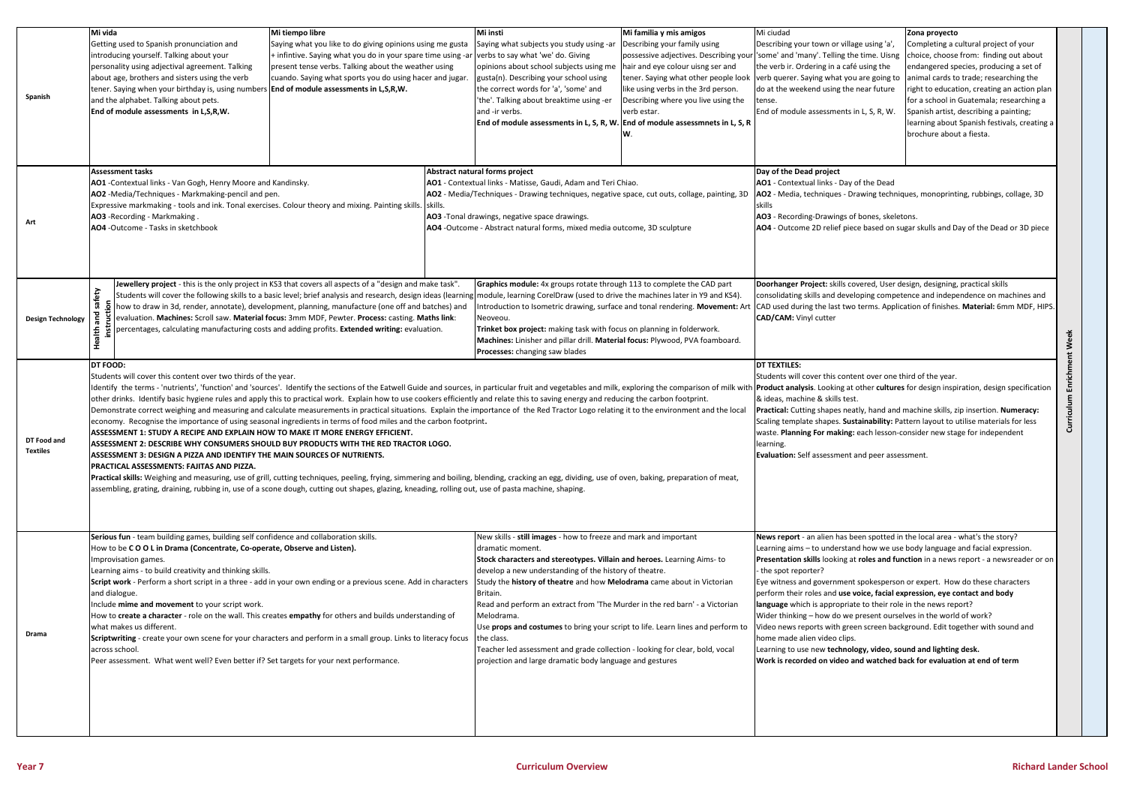| Spanish                  | Mi vida<br>Getting used to Spanish pronunciation and<br>introducing yourself. Talking about your<br>personality using adjectival agreement. Talking<br>about age, brothers and sisters using the verb<br>tener. Saying when your birthday is, using numbers <b>End of module assessments in L,S,R,W.</b><br>and the alphabet. Talking about pets.<br>End of module assessments in L,S,R,W.                                                                                                                                                                                                                                                                                                                                                                                                                                                                                                                                                                                                                                                                                                                                                                                                                                                                                                                                                                                                                                                                             | Mi tiempo libre<br>Saying what you like to do giving opinions using me gusta<br>+ infintive. Saying what you do in your spare time using -ar verbs to say what 'we' do. Giving<br>present tense verbs. Talking about the weather using<br>cuando. Saying what sports you do using hacer and jugar.                                                                                                                                                                                                                                                                                                                  |  | Mi insti<br>Saying what subjects you study using -ar<br>opinions about school subjects using me<br>gusta(n). Describing your school using<br>the correct words for 'a', 'some' and<br>'the'. Talking about breaktime using -er<br>and -ir verbs.<br>End of module assessments in L, S, R, W. End of module assessmnets in L, S, R                                                                                                                                                                                                                                                                                                                         | Mi familia y mis amigos<br>Describing your family using<br>possessive adjectives. Describing your<br>hair and eye colour uisng ser and<br>tener. Saying what other people look<br>like using verbs in the 3rd person.<br>Describing where you live using the<br>verb estar. | Mi ciudad<br>Describing your town or village using 'a'<br>'some' and 'many'. Telling the time. Uisng<br>the verb ir. Ordering in a café using the<br>verb querer. Saying what you are going to animal cards to trade; researching the<br>do at the weekend using the near future<br>tense.<br>End of module assessments in L, S, R, W.                                                                                                                                                                                                                                                                                                                                                                                                                                                                                                                 | Zona proyecto<br>Completing a cultural project of your<br>choice, choose from: finding out about<br>endangered species, producing a set of<br>right to education, creating an action plan<br>for a school in Guatemala; researching a<br>Spanish artist, describing a painting;<br>learning about Spanish festivals, creating a<br>brochure about a fiesta. |  |  |
|--------------------------|------------------------------------------------------------------------------------------------------------------------------------------------------------------------------------------------------------------------------------------------------------------------------------------------------------------------------------------------------------------------------------------------------------------------------------------------------------------------------------------------------------------------------------------------------------------------------------------------------------------------------------------------------------------------------------------------------------------------------------------------------------------------------------------------------------------------------------------------------------------------------------------------------------------------------------------------------------------------------------------------------------------------------------------------------------------------------------------------------------------------------------------------------------------------------------------------------------------------------------------------------------------------------------------------------------------------------------------------------------------------------------------------------------------------------------------------------------------------|---------------------------------------------------------------------------------------------------------------------------------------------------------------------------------------------------------------------------------------------------------------------------------------------------------------------------------------------------------------------------------------------------------------------------------------------------------------------------------------------------------------------------------------------------------------------------------------------------------------------|--|-----------------------------------------------------------------------------------------------------------------------------------------------------------------------------------------------------------------------------------------------------------------------------------------------------------------------------------------------------------------------------------------------------------------------------------------------------------------------------------------------------------------------------------------------------------------------------------------------------------------------------------------------------------|-----------------------------------------------------------------------------------------------------------------------------------------------------------------------------------------------------------------------------------------------------------------------------|--------------------------------------------------------------------------------------------------------------------------------------------------------------------------------------------------------------------------------------------------------------------------------------------------------------------------------------------------------------------------------------------------------------------------------------------------------------------------------------------------------------------------------------------------------------------------------------------------------------------------------------------------------------------------------------------------------------------------------------------------------------------------------------------------------------------------------------------------------|-------------------------------------------------------------------------------------------------------------------------------------------------------------------------------------------------------------------------------------------------------------------------------------------------------------------------------------------------------------|--|--|
| Art                      | Assessment tasks<br>AO1 - Contextual links - Van Gogh, Henry Moore and Kandinsky.<br>AO2 -Media/Techniques - Markmaking-pencil and pen.<br>Expressive markmaking - tools and ink. Tonal exercises. Colour theory and mixing. Painting skills. Skills.<br>AO3 - Recording - Markmaking.<br>AO4 - Outcome - Tasks in sketchbook                                                                                                                                                                                                                                                                                                                                                                                                                                                                                                                                                                                                                                                                                                                                                                                                                                                                                                                                                                                                                                                                                                                                          |                                                                                                                                                                                                                                                                                                                                                                                                                                                                                                                                                                                                                     |  | Abstract natural forms project<br>AO1 - Contextual links - Matisse, Gaudi, Adam and Teri Chiao.<br>AO2 - Media/Techniques - Drawing techniques, negative space, cut outs, collage, painting, 3D<br>AO3 -Tonal drawings, negative space drawings.<br>AO4 -Outcome - Abstract natural forms, mixed media outcome, 3D sculpture                                                                                                                                                                                                                                                                                                                              |                                                                                                                                                                                                                                                                             | Day of the Dead project<br>AO1 - Contextual links - Day of the Dead<br>AO2 - Media, techniques - Drawing techniques, monoprinting, rubbings, collage, 3D<br>skills<br>AO3 - Recording-Drawings of bones, skeletons.<br>AO4 - Outcome 2D relief piece based on sugar skulls and Day of the Dead or 3D piece                                                                                                                                                                                                                                                                                                                                                                                                                                                                                                                                             |                                                                                                                                                                                                                                                                                                                                                             |  |  |
| <b>Design Technology</b> | ξà<br>ق                                                                                                                                                                                                                                                                                                                                                                                                                                                                                                                                                                                                                                                                                                                                                                                                                                                                                                                                                                                                                                                                                                                                                                                                                                                                                                                                                                                                                                                                | Jewellery project - this is the only project in KS3 that covers all aspects of a "design and make task".<br>Students will cover the following skills to a basic level; brief analysis and research, design ideas (learning module, learning CorelDraw (used to drive the machines later in Y9 and KS4).<br>how to draw in 3d, render, annotate), development, planning, manufacture (one off and batches) and<br>evaluation. Machines: Scroll saw. Material focus: 3mm MDF, Pewter. Process: casting. Maths link:<br>percentages, calculating manufacturing costs and adding profits. Extended writing: evaluation. |  | Graphics module: 4x groups rotate through 113 to complete the CAD part<br>Introduction to Isometric drawing, surface and tonal rendering. Movement: Art<br>Neoveou.<br>Trinket box project: making task with focus on planning in folderwork.<br>Machines: Linisher and pillar drill. Material focus: Plywood, PVA foamboard.<br>Processes: changing saw blades                                                                                                                                                                                                                                                                                           |                                                                                                                                                                                                                                                                             | Doorhanger Project: skills covered, User design, designing, practical skills<br>consolidating skills and developing competence and independence on machines and<br>CAD used during the last two terms. Application of finishes. Material: 6mm MDF, HIPS.<br><b>CAD/CAM: Vinyl cutter</b><br>Week                                                                                                                                                                                                                                                                                                                                                                                                                                                                                                                                                       |                                                                                                                                                                                                                                                                                                                                                             |  |  |
| DT Food and<br>Textiles  | <b>DT FOOD:</b><br>Students will cover this content over two thirds of the year.<br>Identify the terms - 'nutrients', 'function' and 'sources'. Identify the sections of the Eatwell Guide and sources, in particular fruit and vegetables and milk, exploring the comparison of milk with<br>other drinks. Identify basic hygiene rules and apply this to practical work. Explain how to use cookers efficiently and relate this to saving energy and reducing the carbon footprint.<br>Demonstrate correct weighing and measuring and calculate measurements in practical situations. Explain the importance of the Red Tractor Logo relating it to the environment and the local<br>economy. Recognise the importance of using seasonal ingredients in terms of food miles and the carbon footprint.<br>ASSESSMENT 1: STUDY A RECIPE AND EXPLAIN HOW TO MAKE IT MORE ENERGY EFFICIENT.<br>ASSESSMENT 2: DESCRIBE WHY CONSUMERS SHOULD BUY PRODUCTS WITH THE RED TRACTOR LOGO.<br>ASSESSMENT 3: DESIGN A PIZZA AND IDENTIFY THE MAIN SOURCES OF NUTRIENTS.<br>PRACTICAL ASSESSMENTS: FAJITAS AND PIZZA.<br>Practical skills: Weighing and measuring, use of grill, cutting techniques, peeling, frying, simmering and boiling, blending, cracking an egg, dividing, use of oven, baking, preparation of meat,<br>assembling, grating, draining, rubbing in, use of a scone dough, cutting out shapes, glazing, kneading, rolling out, use of pasta machine, shaping. |                                                                                                                                                                                                                                                                                                                                                                                                                                                                                                                                                                                                                     |  |                                                                                                                                                                                                                                                                                                                                                                                                                                                                                                                                                                                                                                                           |                                                                                                                                                                                                                                                                             | Curriculum Enrichment<br><b>DT TEXTILES:</b><br>Students will cover this content over one third of the year.<br>Product analysis. Looking at other cultures for design inspiration, design specification<br>& ideas, machine & skills test.<br>Practical: Cutting shapes neatly, hand and machine skills, zip insertion. Numeracy:<br>Scaling template shapes. Sustainability: Pattern layout to utilise materials for less<br>waste. Planning For making: each lesson-consider new stage for independent<br>learning.<br>Evaluation: Self assessment and peer assessment.                                                                                                                                                                                                                                                                             |                                                                                                                                                                                                                                                                                                                                                             |  |  |
| Drama                    | Serious fun - team building games, building self confidence and collaboration skills.<br>How to be COOL in Drama (Concentrate, Co-operate, Observe and Listen).<br>Improvisation games.<br>Learning aims - to build creativity and thinking skills.<br>Script work - Perform a short script in a three - add in your own ending or a previous scene. Add in characters<br>and dialogue.<br>Include mime and movement to your script work.<br>How to create a character - role on the wall. This creates empathy for others and builds understanding of<br>what makes us different.<br>Scriptwriting - create your own scene for your characters and perform in a small group. Links to literacy focus<br>across school.<br>Peer assessment. What went well? Even better if? Set targets for your next performance.                                                                                                                                                                                                                                                                                                                                                                                                                                                                                                                                                                                                                                                     |                                                                                                                                                                                                                                                                                                                                                                                                                                                                                                                                                                                                                     |  | New skills - still images - how to freeze and mark and important<br>dramatic moment.<br>Stock characters and stereotypes. Villain and heroes. Learning Aims- to<br>develop a new understanding of the history of theatre.<br>Study the history of theatre and how Melodrama came about in Victorian<br>Britain.<br>Read and perform an extract from 'The Murder in the red barn' - a Victorian<br>Melodrama.<br>Use props and costumes to bring your script to life. Learn lines and perform to<br>the class.<br>Teacher led assessment and grade collection - looking for clear, bold, vocal<br>projection and large dramatic body language and gestures |                                                                                                                                                                                                                                                                             | News report - an alien has been spotted in the local area - what's the story?<br>Learning aims - to understand how we use body language and facial expression.<br>Presentation skills looking at roles and function in a news report - a newsreader or on<br>- the spot reporter?<br>Eye witness and government spokesperson or expert. How do these characters<br>perform their roles and use voice, facial expression, eye contact and body<br>language which is appropriate to their role in the news report?<br>Wider thinking - how do we present ourselves in the world of work?<br>Video news reports with green screen background. Edit together with sound and<br>home made alien video clips.<br>Learning to use new technology, video, sound and lighting desk.<br>Work is recorded on video and watched back for evaluation at end of term |                                                                                                                                                                                                                                                                                                                                                             |  |  |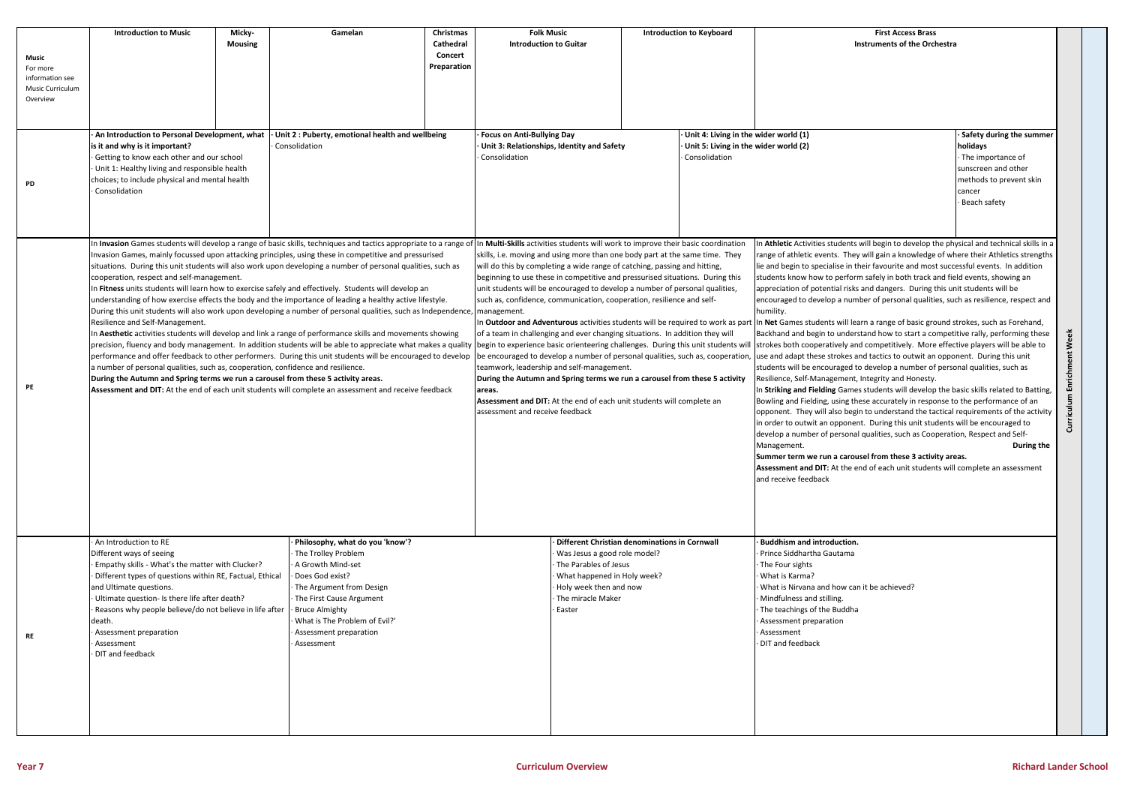**Curriculum Enrichment Week** Curriculum Enrichment Week

## **Introduction First Access Brass Instruments of the Orchestra**

| Music<br>For more<br>information see<br>Music Curriculum<br>Overview | <b>Introduction to Music</b>                                                                                                                                                                                                                                                                                                                                                                                                                                                                                                                                                                                                                                                                                                                                                                                                                                                                                                                                                                                                                                                                                                                                                                                                                                                                                                                                                                                                                                                                                                                                                                                                                                     | Micky-<br><b>Mousing</b> | Gamelan                                                                                                                                                                                                                                                  | Christmas<br>Cathedral<br>Concert<br>Preparation                                                 | <b>Folk Music</b><br><b>Introduction to Guitar</b>                                                                                                                                                                                                                                                                                                                                                                                                                                                                                                                                                                                                                                                                                                                                                                    |                                                                                                                                                                                                                                                                                                                                                                                                                                                                                                                                                                                                                                                                          |                                                                                                 | <b>Introduction to Keyboard</b> |                                                                                                                                                                                                                                                                     |
|----------------------------------------------------------------------|------------------------------------------------------------------------------------------------------------------------------------------------------------------------------------------------------------------------------------------------------------------------------------------------------------------------------------------------------------------------------------------------------------------------------------------------------------------------------------------------------------------------------------------------------------------------------------------------------------------------------------------------------------------------------------------------------------------------------------------------------------------------------------------------------------------------------------------------------------------------------------------------------------------------------------------------------------------------------------------------------------------------------------------------------------------------------------------------------------------------------------------------------------------------------------------------------------------------------------------------------------------------------------------------------------------------------------------------------------------------------------------------------------------------------------------------------------------------------------------------------------------------------------------------------------------------------------------------------------------------------------------------------------------|--------------------------|----------------------------------------------------------------------------------------------------------------------------------------------------------------------------------------------------------------------------------------------------------|--------------------------------------------------------------------------------------------------|-----------------------------------------------------------------------------------------------------------------------------------------------------------------------------------------------------------------------------------------------------------------------------------------------------------------------------------------------------------------------------------------------------------------------------------------------------------------------------------------------------------------------------------------------------------------------------------------------------------------------------------------------------------------------------------------------------------------------------------------------------------------------------------------------------------------------|--------------------------------------------------------------------------------------------------------------------------------------------------------------------------------------------------------------------------------------------------------------------------------------------------------------------------------------------------------------------------------------------------------------------------------------------------------------------------------------------------------------------------------------------------------------------------------------------------------------------------------------------------------------------------|-------------------------------------------------------------------------------------------------|---------------------------------|---------------------------------------------------------------------------------------------------------------------------------------------------------------------------------------------------------------------------------------------------------------------|
| PD                                                                   | An Introduction to Personal Development, what<br>is it and why is it important?<br>Getting to know each other and our school<br>Unit 1: Healthy living and responsible health<br>choices; to include physical and mental health<br>Consolidation                                                                                                                                                                                                                                                                                                                                                                                                                                                                                                                                                                                                                                                                                                                                                                                                                                                                                                                                                                                                                                                                                                                                                                                                                                                                                                                                                                                                                 |                          | Unit 2: Puberty, emotional health and wellbeing<br>Consolidation                                                                                                                                                                                         | <b>Focus on Anti-Bullying Day</b><br>Unit 3: Relationships, Identity and Safety<br>Consolidation |                                                                                                                                                                                                                                                                                                                                                                                                                                                                                                                                                                                                                                                                                                                                                                                                                       |                                                                                                                                                                                                                                                                                                                                                                                                                                                                                                                                                                                                                                                                          | Unit 4: Living in the wider world (1)<br>Unit 5: Living in the wider world (2)<br>Consolidation |                                 |                                                                                                                                                                                                                                                                     |
| PE                                                                   | In Invasion Games students will develop a range of basic skills, techniques and tactics appropriate to a range of In Multi-Skills activities students will work to improve their basic coordination<br>Invasion Games, mainly focussed upon attacking principles, using these in competitive and pressurised<br>situations. During this unit students will also work upon developing a number of personal qualities, such as<br>cooperation, respect and self-management.<br>In Fitness units students will learn how to exercise safely and effectively. Students will develop an<br>understanding of how exercise effects the body and the importance of leading a healthy active lifestyle.<br>During this unit students will also work upon developing a number of personal qualities, such as Independence, management.<br>Resilience and Self-Management.<br>In Aesthetic activities students will develop and link a range of performance skills and movements showing<br>precision, fluency and body management. In addition students will be able to appreciate what makes a quality begin to experience basic orienteering challenges. During this unit students will<br>performance and offer feedback to other performers. During this unit students will be encouraged to develop   be encouraged to develop a number of personal qualities, such as, cooperation<br>a number of personal qualities, such as, cooperation, confidence and resilience.<br>During the Autumn and Spring terms we run a carousel from these 5 activity areas.<br>Assessment and DIT: At the end of each unit students will complete an assessment and receive feedback |                          |                                                                                                                                                                                                                                                          |                                                                                                  | skills, i.e. moving and using more than one body part at the same time. They<br>will do this by completing a wide range of catching, passing and hitting,<br>beginning to use these in competitive and pressurised situations. During this<br>unit students will be encouraged to develop a number of personal qualities,<br>such as, confidence, communication, cooperation, resilience and self-<br>In Outdoor and Adventurous activities students will be required to work as par<br>of a team in challenging and ever changing situations. In addition they will<br>teamwork, leadership and self-management.<br>During the Autumn and Spring terms we run a carousel from these 5 activity<br>areas.<br>Assessment and DIT: At the end of each unit students will complete an<br>assessment and receive feedback | In Athletic Activities student<br>range of athletic events. The<br>lie and begin to specialise in<br>students know how to perfo<br>appreciation of potential risl<br>encouraged to develop a nui<br>humility.<br>In Net Games students will le<br>Backhand and begin to unde<br>strokes both cooperatively a<br>use and adapt these strokes<br>students will be encouraged<br>Resilience, Self-Managemen<br>In Striking and Fielding Gam<br>Bowling and Fielding, using t<br>opponent. They will also be<br>in order to outwit an oppone<br>develop a number of person<br>Management.<br>Summer term we run a card<br>Assessment and DIT: At the<br>and receive feedback |                                                                                                 |                                 |                                                                                                                                                                                                                                                                     |
| RE                                                                   | An Introduction to RE<br>Different ways of seeing<br>Empathy skills - What's the matter with Clucker?<br>Different types of questions within RE, Factual, Ethical<br>and Ultimate questions.<br>Ultimate question- Is there life after death?<br>Reasons why people believe/do not believe in life after<br>death.<br>Assessment preparation<br>Assessment<br>DIT and feedback                                                                                                                                                                                                                                                                                                                                                                                                                                                                                                                                                                                                                                                                                                                                                                                                                                                                                                                                                                                                                                                                                                                                                                                                                                                                                   |                          | Philosophy, what do you 'know'?<br>The Trolley Problem<br>A Growth Mind-set<br>Does God exist?<br>The Argument from Design<br>The First Cause Argument<br><b>Bruce Almighty</b><br>What is The Problem of Evil?'<br>Assessment preparation<br>Assessment |                                                                                                  |                                                                                                                                                                                                                                                                                                                                                                                                                                                                                                                                                                                                                                                                                                                                                                                                                       | Different Christian denominations in Cornwall<br>Was Jesus a good role model?<br>The Parables of Jesus<br>What happened in Holy week?<br>Holy week then and now<br>The miracle Maker<br>Easter                                                                                                                                                                                                                                                                                                                                                                                                                                                                           |                                                                                                 |                                 | <b>Buddhism and introduction</b><br>· Prince Siddhartha Gautama<br>· The Four sights<br>· What is Karma?<br>What is Nirvana and how ca<br>· Mindfulness and stilling.<br>· The teachings of the Buddh<br>Assessment preparation<br>· Assessment<br>DIT and feedback |

**· Safety during the summer holidays** · The importance of sunscreen and other methods to prevent skin cancer · Beach safety

**Ints will begin to develop the physical and technical skills in a** Fhey will gain a knowledge of where their Athletics strengths in their favourite and most successful events. In addition form safely in both track and field events, showing an risks and dangers. During this unit students will be number of personal qualities, such as resilience, respect and

Il learn a range of basic ground strokes, such as Forehand, derstand how to start a competitive rally, performing these y and competitively. More effective players will be able to es and tactics to outwit an opponent. During this unit ed to develop a number of personal qualities, such as ent, Integrity and Honesty.

In **Stanger 3 In 1998** and Strikings and *Inees students will develop* the basiming, g these accurately in response to the performance of an begin to understand the tactical requirements of the activity in order to ourcing this unit students will be encouraged to onal qualities, such as Cooperation, Respect and Self-

### **During the**

# **Summer a conset Service S** activity areas.

**ne end of each unit students will complete an assessment** 

ion.

 $\alpha$  can it be achieved?

dha